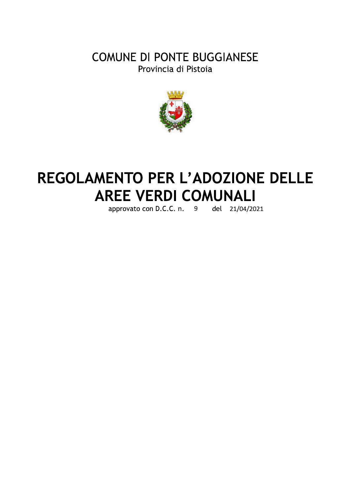## **COMUNE DI PONTE BUGGIANESE** Provincia di Pistoia



# REGOLAMENTO PER L'ADOZIONE DELLE **AREE VERDI COMUNALI**

approvato con D.C.C. n. 9 del 21/04/2021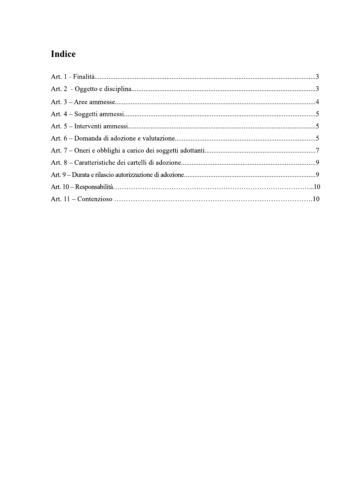## Indice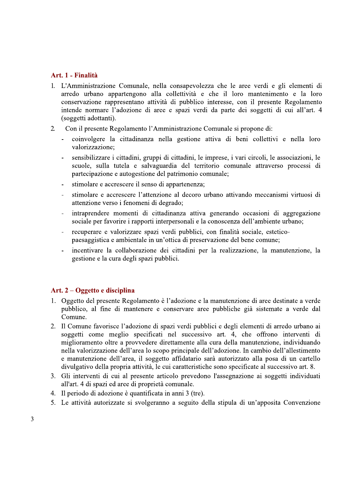#### Art. 1 - Finalità

- 1. L'Amministrazione Comunale, nella consapevolezza che le aree verdi e gli elementi di arredo urbano appartengono alla collettività e che il loro mantenimento e la loro conservazione rappresentano attività di pubblico interesse, con il presente Regolamento intende normare l'adozione di aree e spazi verdi da parte dei soggetti di cui all'art. 4 (soggetti adottanti).
- $2^{\circ}$ Con il presente Regolamento l'Amministrazione Comunale si propone di:
	- coinvolgere la cittadinanza nella gestione attiva di beni collettivi e nella loro valorizzazione:
	- sensibilizzare i cittadini, gruppi di cittadini, le imprese, i vari circoli, le associazioni, le scuole, sulla tutela e salvaguardia del territorio comunale attraverso processi di partecipazione e autogestione del patrimonio comunale;
	- stimolare e accrescere il senso di appartenenza;
	- stimolare e accrescere l'attenzione al decoro urbano attivando meccanismi virtuosi di attenzione verso i fenomeni di degrado;
	- intraprendere momenti di cittadinanza attiva generando occasioni di aggregazione sociale per favorire i rapporti interpersonali e la conoscenza dell'ambiente urbano;
	- recuperare e valorizzare spazi verdi pubblici, con finalità sociale, estetico- $\overline{a}$ paesaggistica e ambientale in un'ottica di preservazione del bene comune;
	- incentivare la collaborazione dei cittadini per la realizzazione, la manutenzione, la gestione e la cura degli spazi pubblici.

### Art.  $2 - O$ ggetto e disciplina

- 1. Oggetto del presente Regolamento è l'adozione e la manutenzione di aree destinate a verde pubblico, al fine di mantenere e conservare aree pubbliche già sistemate a verde dal Comune.
- 2. Il Comune favorisce l'adozione di spazi verdi pubblici e degli elementi di arredo urbano ai soggetti come meglio specificati nel successivo art. 4, che offrono interventi di miglioramento oltre a provvedere direttamente alla cura della manutenzione, individuando nella valorizzazione dell'area lo scopo principale dell'adozione. In cambio dell'allestimento e manutenzione dell'area, il soggetto affidatario sarà autorizzato alla posa di un cartello divulgativo della propria attività, le cui caratteristiche sono specificate al successivo art. 8.
- 3. Gli interventi di cui al presente articolo prevedono l'assegnazione ai soggetti individuati all'art. 4 di spazi ed aree di proprietà comunale.
- 4. Il periodo di adozione è quantificata in anni 3 (tre).
- 5. Le attività autorizzate si svolgeranno a seguito della stipula di un'apposita Convenzione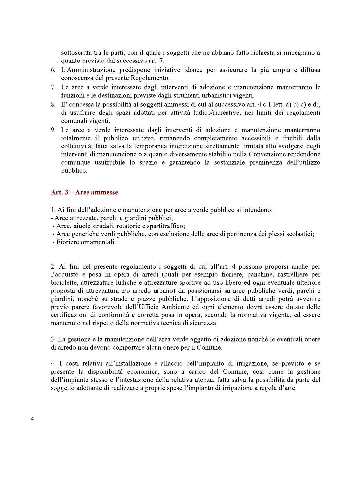sottoscritta tra le parti, con il quale i soggetti che ne abbiano fatto richiesta si impegnano a quanto previsto dal successivo art. 7.

- 6. L'Amministrazione predispone iniziative idonee per assicurare la più ampia e diffusa conoscenza del presente Regolamento.
- 7. Le aree a verde interessate dagli interventi di adozione e manutenzione manterranno le funzioni e le destinazioni previste dagli strumenti urbanistici vigenti.
- 8. E' concessa la possibilità ai soggetti ammessi di cui al successivo art. 4 c.1 lett. a) b) c) e d), di usufruire degli spazi adottati per attività ludico/ricreative, nei limiti dei regolamenti comunali vigenti.
- 9. Le aree a verde interessate dagli interventi di adozione e manutenzione manterranno totalmente il pubblico utilizzo, rimanendo completamente accessibili e fruibili dalla collettività, fatta salva la temporanea interdizione strettamente limitata allo svolgersi degli interventi di manutenzione o a quanto diversamente stabilito nella Convenzione rendendone comunque usufruibile lo spazio e garantendo la sostanziale preminenza dell'utilizzo pubblico.

#### Art.  $3 -$ Aree ammesse

- 1. Ai fini dell'adozione e manutenzione per aree a verde pubblico si intendono:
- Aree attrezzate, parchi e giardini pubblici;
- Aree, aiuole stradali, rotatorie e spartitraffico;
- Aree generiche verdi pubbliche, con esclusione delle aree di pertinenza dei plessi scolastici;

- Fioriere ornamentali.

2. Ai fini del presente regolamento i soggetti di cui all'art. 4 possono proporsi anche per l'acquisto e posa in opera di arredi (quali per esempio fioriere, panchine, rastrelliere per biciclette, attrezzature ludiche e attrezzature sportive ad uso libero ed ogni eventuale ulteriore proposta di attrezzatura e/o arredo urbano) da posizionarsi su aree pubbliche verdi, parchi e giardini, nonché su strade e piazze pubbliche. L'apposizione di detti arredi potrà avvenire previo parere favorevole dell'Ufficio Ambiente ed ogni elemento dovrà essere dotato delle certificazioni di conformità e corretta posa in opera, secondo la normativa vigente, ed essere mantenuto nel rispetto della normativa tecnica di sicurezza.

3. La gestione e la manutenzione dell'area verde oggetto di adozione nonché le eventuali opere di arredo non devono comportare alcun onere per il Comune.

4. I costi relativi all'installazione e allaccio dell'impianto di irrigazione, se previsto e se presente la disponibilità economica, sono a carico del Comune, così come la gestione dell'impianto stesso e l'intestazione della relativa utenza, fatta salva la possibilità da parte del soggetto adottante di realizzare a proprie spese l'impianto di irrigazione a regola d'arte.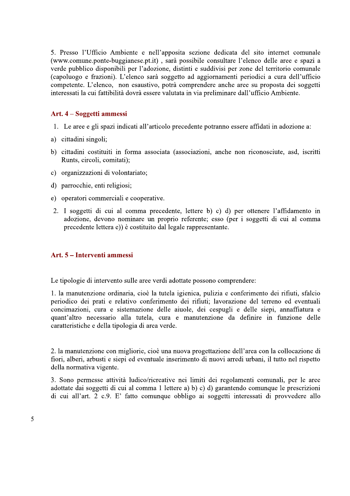5. Presso l'Ufficio Ambiente e nell'apposita sezione dedicata del sito internet comunale (www.comune.ponte-buggianese.pt.it), sarà possibile consultare l'elenco delle aree e spazi a verde pubblico disponibili per l'adozione, distinti e suddivisi per zone del territorio comunale (capoluogo e frazioni). L'elenco sarà soggetto ad aggiornamenti periodici a cura dell'ufficio competente. L'elenco, non esaustivo, potrà comprendere anche aree su proposta dei soggetti interessati la cui fattibilità dovrà essere valutata in via preliminare dall'ufficio Ambiente.

#### Art. 4 – Soggetti ammessi

- 1. Le aree e gli spazi indicati all'articolo precedente potranno essere affidati in adozione a:
- a) cittadini singoli;
- b) cittadini costituiti in forma associata (associazioni, anche non riconosciute, asd, iscritti Runts, circoli, comitati);
- c) organizzazioni di volontariato;
- d) parrocchie, enti religiosi;
- e) operatori commerciali e cooperative.
- 2. I soggetti di cui al comma precedente, lettere b) c) d) per ottenere l'affidamento in adozione, devono nominare un proprio referente; esso (per i soggetti di cui al comma precedente lettera e)) è costituito dal legale rappresentante.

#### Art. 5 – Interventi ammessi

Le tipologie di intervento sulle aree verdi adottate possono comprendere:

1. la manutenzione ordinaria, cioè la tutela igienica, pulizia e conferimento dei rifiuti, sfalcio periodico dei prati e relativo conferimento dei rifiuti; lavorazione del terreno ed eventuali concimazioni, cura e sistemazione delle aiuole, dei cespugli e delle siepi, annaffiatura e quant'altro necessario alla tutela, cura e manutenzione da definire in funzione delle caratteristiche e della tipologia di area verde.

2. la manutenzione con migliorie, cioè una nuova progettazione dell'area con la collocazione di fiori, alberi, arbusti e siepi ed eventuale inserimento di nuovi arredi urbani, il tutto nel rispetto della normativa vigente.

3. Sono permesse attività ludico/ricreative nei limiti dei regolamenti comunali, per le aree adottate dai soggetti di cui al comma 1 lettere a) b) c) d) garantendo comunque le prescrizioni di cui all'art. 2 c.9. E' fatto comunque obbligo ai soggetti interessati di provvedere allo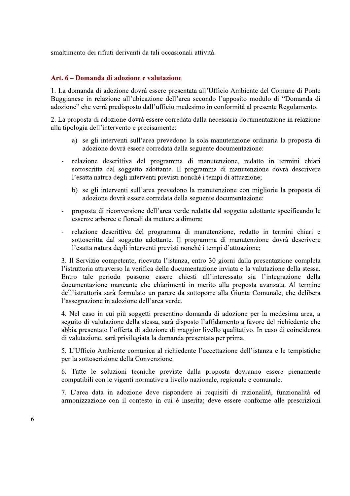smaltimento dei rifiuti derivanti da tali occasionali attività.

#### Art. 6 – Domanda di adozione e valutazione

1. La domanda di adozione dovrà essere presentata all'Ufficio Ambiente del Comune di Ponte Buggianese in relazione all'ubicazione dell'area secondo l'apposito modulo di "Domanda di adozione" che verrà predisposto dall'ufficio medesimo in conformità al presente Regolamento.

2. La proposta di adozione dovrà essere corredata dalla necessaria documentazione in relazione alla tipologia dell'intervento e precisamente:

- a) se gli interventi sull'area prevedono la sola manutenzione ordinaria la proposta di adozione dovrà essere corredata dalla seguente documentazione:
- relazione descrittiva del programma di manutenzione, redatto in termini chiari sottoscritta dal soggetto adottante. Il programma di manutenzione dovrà descrivere l'esatta natura degli interventi previsti nonché i tempi di attuazione;
	- b) se gli interventi sull'area prevedono la manutenzione con migliorie la proposta di adozione dovrà essere corredata della seguente documentazione:
- proposta di riconversione dell'area verde redatta dal soggetto adottante specificando le essenze arboree e floreali da mettere a dimora;
- relazione descrittiva del programma di manutenzione, redatto in termini chiari e sottoscritta dal soggetto adottante. Il programma di manutenzione dovrà descrivere l'esatta natura degli interventi previsti nonché i tempi d'attuazione;

3. Il Servizio competente, ricevuta l'istanza, entro 30 giorni dalla presentazione completa l'istruttoria attraverso la verifica della documentazione inviata e la valutazione della stessa. Entro tale periodo possono essere chiesti all'interessato sia l'integrazione della documentazione mancante che chiarimenti in merito alla proposta avanzata. Al termine dell'istruttoria sarà formulato un parere da sottoporre alla Giunta Comunale, che delibera l'assegnazione in adozione dell'area verde.

4. Nel caso in cui più soggetti presentino domanda di adozione per la medesima area, a seguito di valutazione della stessa, sarà disposto l'affidamento a favore del richiedente che abbia presentato l'offerta di adozione di maggior livello qualitativo. In caso di coincidenza di valutazione, sarà privilegiata la domanda presentata per prima.

5. L'Ufficio Ambiente comunica al richiedente l'accettazione dell'istanza e le tempistiche per la sottoscrizione della Convenzione.

6. Tutte le soluzioni tecniche previste dalla proposta dovranno essere pienamente compatibili con le vigenti normative a livello nazionale, regionale e comunale.

7. L'area data in adozione deve rispondere ai requisiti di razionalità, funzionalità ed armonizzazione con il contesto in cui è inserita; deve essere conforme alle prescrizioni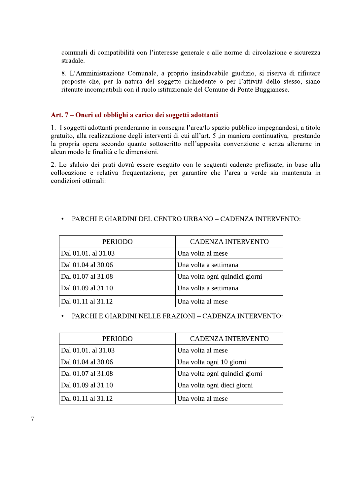comunali di compatibilità con l'interesse generale e alle norme di circolazione e sicurezza stradale.

8. L'Amministrazione Comunale, a proprio insindacabile giudizio, si riserva di rifiutare proposte che, per la natura del soggetto richiedente o per l'attività dello stesso, siano ritenute incompatibili con il ruolo istituzionale del Comune di Ponte Buggianese.

#### Art. 7 – Oneri ed obblighi a carico dei soggetti adottanti

1. I soggetti adottanti prenderanno in consegna l'area/lo spazio pubblico impegnandosi, a titolo gratuito, alla realizzazione degli interventi di cui all'art. 5, in maniera continuativa, prestando la propria opera secondo quanto sottoscritto nell'apposita convenzione e senza alterarne in alcun modo le finalità e le dimensioni.

2. Lo sfalcio dei prati dovrà essere eseguito con le seguenti cadenze prefissate, in base alla collocazione e relativa frequentazione, per garantire che l'area a verde sia mantenuta in condizioni ottimali:

#### PARCHI E GIARDINI DEL CENTRO URBANO – CADENZA INTERVENTO:  $\bullet$

| PERIODO             | <b>CADENZA INTERVENTO</b>      |
|---------------------|--------------------------------|
| Dal 01.01. al 31.03 | Una volta al mese              |
| Dal 01.04 al 30.06  | Una volta a settimana          |
| Dal 01.07 al 31.08  | Una volta ogni quindici giorni |
| Dal 01.09 al 31.10  | Una volta a settimana          |
| Dal 01.11 al 31.12  | Una volta al mese              |

#### PARCHI E GIARDINI NELLE FRAZIONI – CADENZA INTERVENTO:

| <b>PERIODO</b>      | <b>CADENZA INTERVENTO</b>      |
|---------------------|--------------------------------|
| Dal 01.01. al 31.03 | Una volta al mese              |
| Dal 01.04 al 30.06  | Una volta ogni 10 giorni       |
| Dal 01.07 al 31.08  | Una volta ogni quindici giorni |
| Dal 01.09 al 31.10  | Una volta ogni dieci giorni    |
| Dal 01.11 al 31.12  | Una volta al mese              |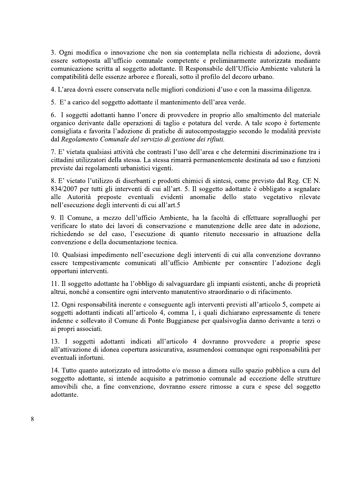3. Ogni modifica o innovazione che non sia contemplata nella richiesta di adozione, dovrà essere sottoposta all'ufficio comunale competente e preliminarmente autorizzata mediante comunicazione scritta al soggetto adottante. Il Responsabile dell'Ufficio Ambiente valuterà la compatibilità delle essenze arboree e floreali, sotto il profilo del decoro urbano.

4. L'area dovrà essere conservata nelle migliori condizioni d'uso e con la massima diligenza.

5. E' a carico del soggetto adottante il mantenimento dell'area verde.

6. I soggetti adottanti hanno l'onere di provvedere in proprio allo smaltimento del materiale organico derivante dalle operazioni di taglio e potatura del verde. A tale scopo è fortemente consigliata e favorita l'adozione di pratiche di autocompostaggio secondo le modalità previste dal Regolamento Comunale del servizio di gestione dei rifiuti.

7. E' vietata qualsiasi attività che contrasti l'uso dell'area e che determini discriminazione tra i cittadini utilizzatori della stessa. La stessa rimarrà permanentemente destinata ad uso e funzioni previste dai regolamenti urbanistici vigenti.

8. E' vietato l'utilizzo di diserbanti e prodotti chimici di sintesi, come previsto dal Reg. CE N. 834/2007 per tutti gli interventi di cui all'art. 5. Il soggetto adottante è obbligato a segnalare alle Autorità preposte eventuali evidenti anomalie dello stato vegetativo rilevate nell'esecuzione degli interventi di cui all'art.5

9. Il Comune, a mezzo dell'ufficio Ambiente, ha la facoltà di effettuare sopralluoghi per verificare lo stato dei lavori di conservazione e manutenzione delle aree date in adozione, richiedendo se del caso, l'esecuzione di quanto ritenuto necessario in attuazione della convenzione e della documentazione tecnica.

10. Qualsiasi impedimento nell'esecuzione degli interventi di cui alla convenzione dovranno essere tempestivamente comunicati all'ufficio Ambiente per consentire l'adozione degli opportuni interventi.

11. Il soggetto adottante ha l'obbligo di salvaguardare gli impianti esistenti, anche di proprietà altrui, nonché a consentire ogni intervento manutentivo straordinario o di rifacimento.

12. Ogni responsabilità inerente e conseguente agli interventi previsti all'articolo 5, compete ai soggetti adottanti indicati all'articolo 4, comma 1, i quali dichiarano espressamente di tenere indenne e sollevato il Comune di Ponte Buggianese per qualsivoglia danno derivante a terzi o ai propri associati.

13. I soggetti adottanti indicati all'articolo 4 dovranno provvedere a proprie spese all'attivazione di idonea copertura assicurativa, assumendosi comunque ogni responsabilità per eventuali infortuni.

14. Tutto quanto autorizzato ed introdotto e/o messo a dimora sullo spazio pubblico a cura del soggetto adottante, si intende acquisito a patrimonio comunale ad eccezione delle strutture amovibili che, a fine convenzione, dovranno essere rimosse a cura e spese del soggetto adottante.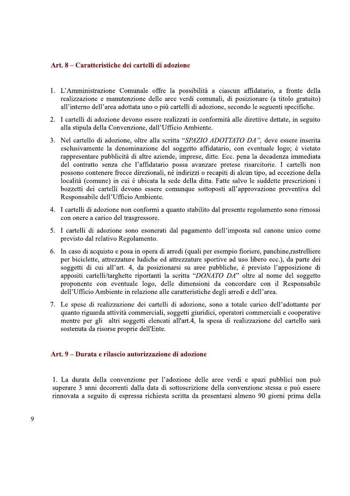#### Art. 8 – Caratteristiche dei cartelli di adozione

- 1. L'Amministrazione Comunale offre la possibilità a ciascun affidatario, a fronte della realizzazione e manutenzione delle aree verdi comunali, di posizionare (a titolo gratuito) all'interno dell'area adottata uno o più cartelli di adozione, secondo le seguenti specifiche.
- 2. I cartelli di adozione devono essere realizzati in conformità alle direttive dettate, in seguito alla stipula della Convenzione, dall'Ufficio Ambiente.
- 3. Nel cartello di adozione, oltre alla scritta "SPAZIO ADOTTATO DA", deve essere inserita esclusivamente la denominazione del soggetto affidatario, con eventuale logo; è vietato rappresentare pubblicità di altre aziende, imprese, ditte. Ecc. pena la decadenza immediata del contratto senza che l'affidatario possa avanzare pretese risarcitorie. I cartelli non possono contenere frecce direzionali, né indirizzi o recapiti di alcun tipo, ad eccezione della località (comune) in cui è ubicata la sede della ditta. Fatte salvo le suddette prescrizioni i bozzetti dei cartelli devono essere comunque sottoposti all'approvazione preventiva del Responsabile dell'Ufficio Ambiente.
- 4. I cartelli di adozione non conformi a quanto stabilito dal presente regolamento sono rimossi con onere a carico del trasgressore.
- 5. I cartelli di adozione sono esonerati dal pagamento dell'imposta sul canone unico come previsto dal relativo Regolamento.
- 6. In caso di acquisto e posa in opera di arredi (quali per esempio fioriere, panchine, rastrelliere per biciclette, attrezzature ludiche ed attrezzature sportive ad uso libero ecc.), da parte dei soggetti di cui all'art. 4, da posizionarsi su aree pubbliche, è previsto l'apposizione di appositi cartelli/targhette riportanti la scritta "DONATO DA" oltre al nome del soggetto proponente con eventuale logo, delle dimensioni da concordare con il Responsabile dell'Ufficio Ambiente in relazione alle caratteristiche degli arredi e dell'area.
- 7. Le spese di realizzazione dei cartelli di adozione, sono a totale carico dell'adottante per quanto riguarda attività commerciali, soggetti giuridici, operatori commerciali e cooperative mentre per gli altri soggetti elencati all'art.4, la spesa di realizzazione del cartello sarà sostenuta da risorse proprie dell'Ente.

#### Art. 9 – Durata e rilascio autorizzazione di adozione

1. La durata della convenzione per l'adozione delle aree verdi e spazi pubblici non può superare 3 anni decorrenti dalla data di sottoscrizione della convenzione stessa e può essere rinnovata a seguito di espressa richiesta scritta da presentarsi almeno 90 giorni prima della